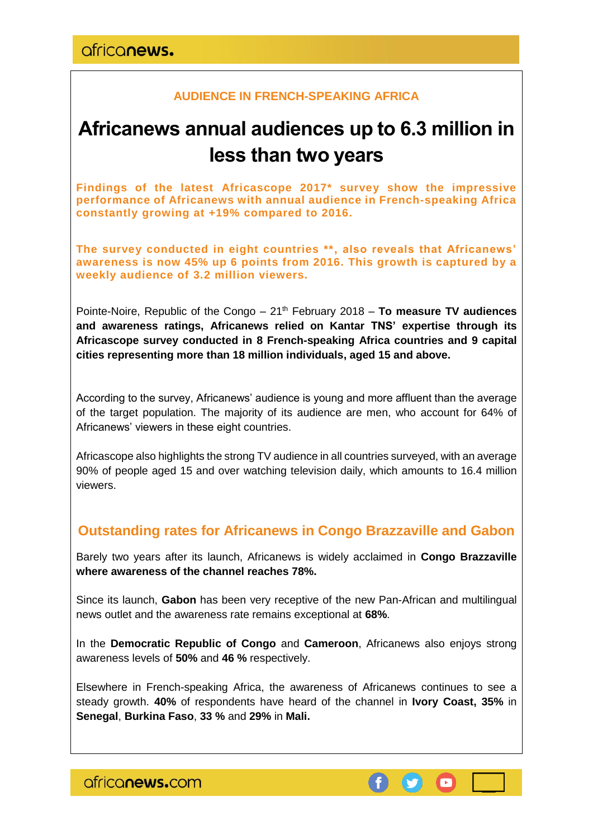africanews.

## **AUDIENCE IN FRENCH-SPEAKING AFRICA**

# **Africanews annual audiences up to 6.3 million in less than two years**

**Findings of the latest Africascope 2017\* survey show the impressive performance of Africanews with annual audience in French-speaking Africa constantly growing at +19% compared to 2016.**

**The survey conducted in eight countries \*\*, also reveals that Africanews' awareness is now 45% up 6 points from 2016. This growth is captured by a weekly audience of 3.2 million viewers.**

Pointe-Noire, Republic of the Congo – 21th February 2018 – **To measure TV audiences and awareness ratings, Africanews relied on Kantar TNS' expertise through its Africascope survey conducted in 8 French-speaking Africa countries and 9 capital cities representing more than 18 million individuals, aged 15 and above.**

According to the survey, Africanews' audience is young and more affluent than the average of the target population. The majority of its audience are men, who account for 64% of Africanews' viewers in these eight countries.

Africascope also highlights the strong TV audience in all countries surveyed, with an average 90% of people aged 15 and over watching television daily, which amounts to 16.4 million viewers.

# **Outstanding rates for Africanews in Congo Brazzaville and Gabon**

Barely two years after its launch, Africanews is widely acclaimed in **Congo Brazzaville where awareness of the channel reaches 78%.**

Since its launch, **Gabon** has been very receptive of the new Pan-African and multilingual news outlet and the awareness rate remains exceptional at **68%**.

In the **Democratic Republic of Congo** and **Cameroon**, Africanews also enjoys strong awareness levels of **50%** and **46 %** respectively.

Elsewhere in French-speaking Africa, the awareness of Africanews continues to see a steady growth. **40%** of respondents have heard of the channel in **Ivory Coast, 35%** in **Senegal**, **Burkina Faso**, **33 %** and **29%** in **Mali.**

africanews.com